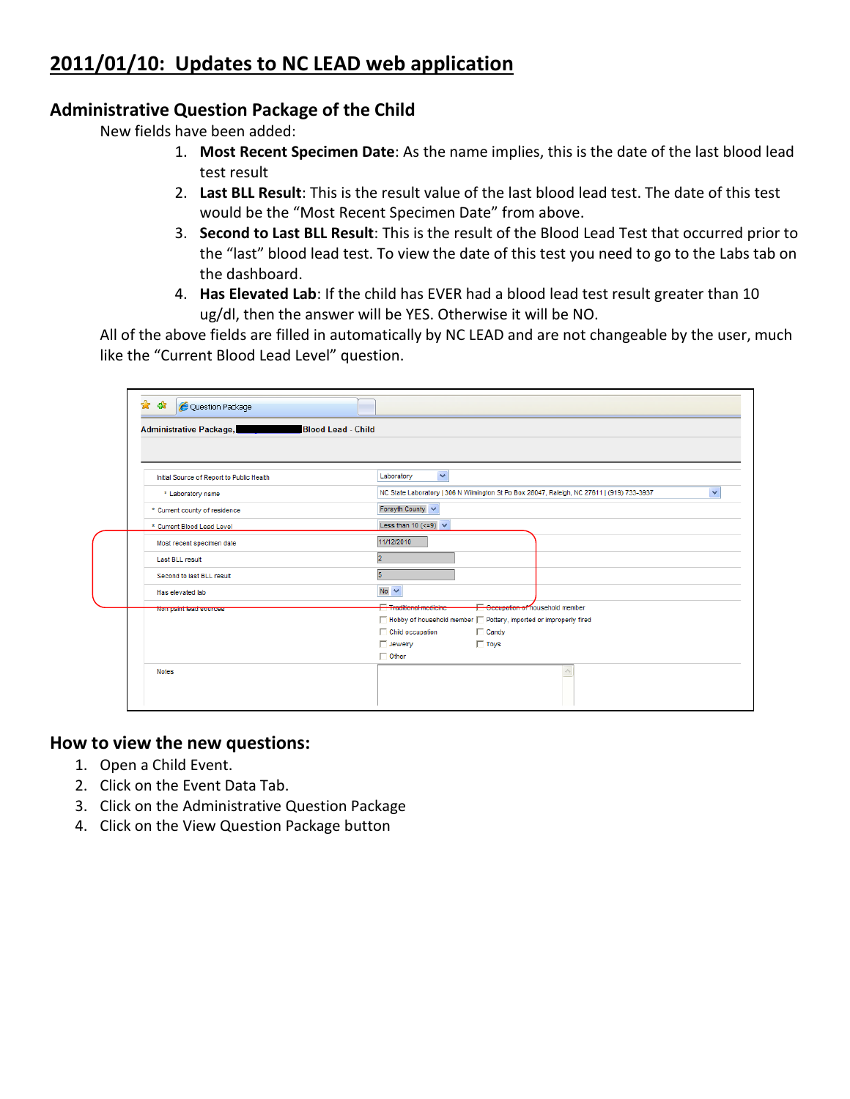# **2011/01/10: Updates to NC LEAD web application**

### **Administrative Question Package of the Child**

New fields have been added:

- 1. **Most Recent Specimen Date**: As the name implies, this is the date of the last blood lead test result
- 2. **Last BLL Result**: This is the result value of the last blood lead test. The date of this test would be the "Most Recent Specimen Date" from above.
- 3. **Second to Last BLL Result**: This is the result of the Blood Lead Test that occurred prior to the "last" blood lead test. To view the date of this test you need to go to the Labs tab on the dashboard.
- 4. **Has Elevated Lab**: If the child has EVER had a blood lead test result greater than 10 ug/dl, then the answer will be YES. Otherwise it will be NO.

All of the above fields are filled in automatically by NC LEAD and are not changeable by the user, much like the "Current Blood Lead Level" question.

| Initial Source of Report to Public Health | $\checkmark$<br>Laboratory                                                                                 |
|-------------------------------------------|------------------------------------------------------------------------------------------------------------|
| * Laboratory name                         | $\checkmark$<br>NC State Laboratory   306 N Wilmington St Po Box 28047, Raleigh, NC 27611   (919) 733-3937 |
| * Current county of residence             | Forsyth County V                                                                                           |
| * Current Blood Lead Level                | Less than 10 ( $\leq$ =9) $\vee$                                                                           |
| Most recent specimen date                 | 11/12/2010                                                                                                 |
| Last BLL result                           | l2                                                                                                         |
| Second to last BLL result                 | F                                                                                                          |
| Has elevated lab                          | No $\vee$                                                                                                  |
| Non paint lead sources                    | Occupation of nousehold member<br><b>Traditional medicine</b>                                              |
|                                           | □ Hobby of household member □ Pottery, imported or improperly fired                                        |
|                                           | $\Box$ Candy<br>Child occupation                                                                           |
|                                           | $\Box$ Toys<br>$\Box$ Jewelry                                                                              |
|                                           | $\Box$ Other                                                                                               |

### **How to view the new questions:**

- 1. Open a Child Event.
- 2. Click on the Event Data Tab.
- 3. Click on the Administrative Question Package
- 4. Click on the View Question Package button